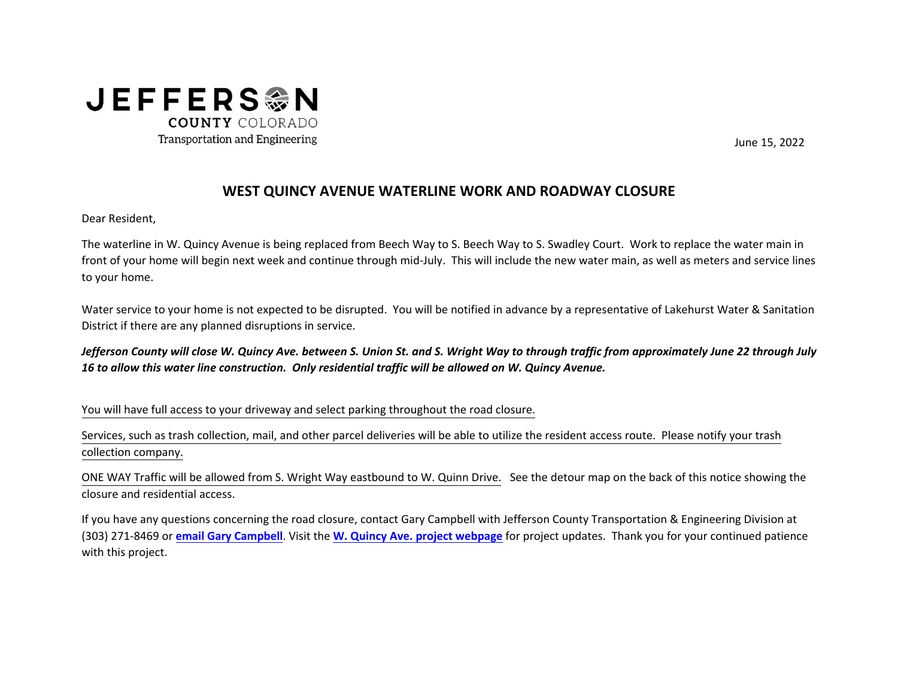

June 15, 2022

## **WEST QUINCY AVENUE WATERLINE WORK AND ROADWAY CLOSURE**

Dear Resident,

The waterline in W. Quincy Avenue is being replaced from Beech Way to S. Beech Way to S. Swadley Court. Work to replace the water main in<br>Section 2014 10:00 10:00 10:00 10:00 10:00 10:00 10:00 10:00 10:00 10:00 10:00 10:00 front of your home will begin next week and continue through mid‐July. This will include the new water main, as well as meters and service lines to your home.

Water service to your home is not expected to be disrupted. You will be notified in advance by <sup>a</sup> representative of Lakehurst Water & Sanitation District if there are any planned disruptions in service.

Jefferson County will close W. Quincy Ave. between S. Union St. and S. Wright Way to through traffic from approximately June 22 through July<br>As in the state of the state of the state of the state of the state of the state *16 to allow this water line construction. Only residential traffic will be allowed on W. Quincy Avenue.*

You will have full access to your driveway and select parking throughout the road closure.

Services, such as trash collection, mail, and other parcel deliveries will be able to utilize the resident access route. Please notify your trash collection company.

ONE WAY Traffic will be allowed from S. Wright Way eastbound to W. Quinn Drive. See the detour map on the back of this notice showing the<br>. closure and residential access.

If you have any questions concerning the road closure, contact Gary Campbell with Jefferson County Transportation & Engineering Division at (303) <sup>271</sup>‐<sup>8469</sup> or **[email Gary Campbell](mailto:gcampbel@jeffco.us)**. Visit the **[W. Quincy Ave. project webpage](https://www.jeffco.us/Blog.aspx?IID=108#item)** for project updates. Thank you for your continued patience with this project.